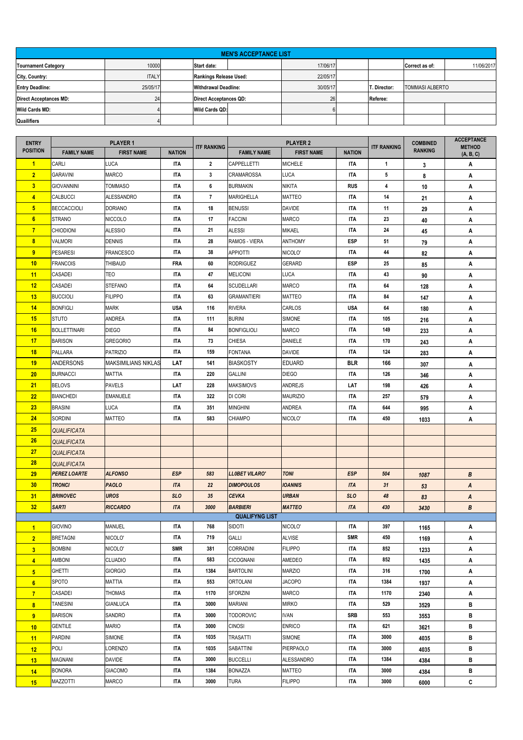| <b>MEN'S ACCEPTANCE LIST</b>  |              |                       |                               |          |  |              |                        |            |  |  |
|-------------------------------|--------------|-----------------------|-------------------------------|----------|--|--------------|------------------------|------------|--|--|
| <b>Tournament Category</b>    | 10000        | Start date:           |                               | 17/06/17 |  |              | Correct as of:         | 11/06/2017 |  |  |
| City, Country:                | <b>ITALY</b> |                       | Rankings Release Used:        | 22/05/17 |  |              |                        |            |  |  |
| <b>Entry Deadline:</b>        | 25/05/17     |                       | <b>Withdrawal Deadline:</b>   | 30/05/17 |  | T. Director: | <b>TOMMASI ALBERTO</b> |            |  |  |
| <b>Direct Acceptances MD:</b> | 24           |                       | <b>Direct Acceptances QD:</b> | 26       |  | Referee:     |                        |            |  |  |
| <b>Wild Cards MD:</b>         |              | <b>Wild Cards QD:</b> |                               |          |  |              |                        |            |  |  |
| Quailifiers                   |              |                       |                               |          |  |              |                        |            |  |  |

| <b>ENTRY</b>                              | <b>PLAYER 1</b>                   |                            |                   | <b>ITF RANKING</b> | <b>PLAYER 2</b>               |                          |                          | <b>ITF RANKING</b> | <b>COMBINED</b> | <b>ACCEPTANCE</b><br><b>METHOD</b> |
|-------------------------------------------|-----------------------------------|----------------------------|-------------------|--------------------|-------------------------------|--------------------------|--------------------------|--------------------|-----------------|------------------------------------|
| <b>POSITION</b>                           | <b>FAMILY NAME</b>                | <b>FIRST NAME</b>          | <b>NATION</b>     |                    | <b>FAMILY NAME</b>            | <b>FIRST NAME</b>        | <b>NATION</b>            |                    | <b>RANKING</b>  | (A, B, C)                          |
| $\blacktriangleleft$                      | CARLI                             | <b>LUCA</b>                | ITA               | $\overline{2}$     | <b>CAPPELLETTI</b>            | <b>MICHELE</b>           | <b>ITA</b>               | $\mathbf{1}$       | 3               | Α                                  |
| $\overline{2}$                            | <b>GARAVINI</b>                   | <b>MARCO</b>               | <b>ITA</b>        | 3                  | <b>CRAMAROSSA</b>             | <b>LUCA</b>              | <b>ITA</b>               | 5                  | 8               | Α                                  |
| $\overline{\mathbf{3}}$                   | <b>GIOVANNINI</b>                 | <b>TOMMASO</b>             | ITA               | 6                  | <b>BURMAKIN</b>               | <b>NIKITA</b>            | <b>RUS</b>               | 4                  | 10              | Α                                  |
| $\overline{4}$                            | <b>CALBUCCI</b>                   | <b>ALESSANDRO</b>          | <b>ITA</b>        | $\overline{7}$     | <b>MARIGHELLA</b>             | <b>MATTEO</b>            | <b>ITA</b>               | 14                 | 21              | Α                                  |
| 5 <sub>5</sub>                            | <b>BECCACCIOLI</b>                | <b>DORIANO</b>             | ITA               | 18                 | <b>BENUSSI</b>                | <b>DAVIDE</b>            | <b>ITA</b>               | 11                 | 29              | Α                                  |
| $6\phantom{.}6$                           | <b>STRANO</b>                     | <b>NICCOLO</b>             | ITA               | 17                 | <b>FACCINI</b>                | <b>MARCO</b>             | <b>ITA</b>               | 23                 | 40              | Α                                  |
| $\overline{7}$                            | <b>CHIODIONI</b>                  | <b>ALESSIO</b>             | ITA               | 21                 | <b>ALESSI</b>                 | MIKAEL                   | <b>ITA</b>               | 24                 | 45              | Α                                  |
| $\boldsymbol{8}$                          | <b>VALMORI</b>                    | <b>DENNIS</b>              | ITA               | 28                 | RAMOS - VIERA                 | <b>ANTHOMY</b>           | ESP                      | 51                 | 79              | Α                                  |
| $\overline{9}$                            | PESARESI                          | <b>FRANCESCO</b>           | ITA               | 38                 | <b>APPIOTTI</b>               | NICOLO'                  | <b>ITA</b>               | 44                 | 82              | Α                                  |
| 10                                        | <b>FRANCOIS</b>                   | THIBAUD                    | <b>FRA</b>        | 60                 | <b>RODRIGUEZ</b>              | <b>GERARD</b>            | <b>ESP</b>               | 25                 | 85              | Α                                  |
| 11                                        | CASADEI                           | TEO                        | ITA               | 47                 | <b>MELICONI</b>               | <b>LUCA</b>              | <b>ITA</b>               | 43                 | 90              | Α                                  |
| 12                                        | <b>CASADEI</b>                    | STEFANO                    | ITA               | 64                 | <b>SCUDELLARI</b>             | <b>MARCO</b>             | <b>ITA</b>               | 64                 | 128             | Α                                  |
| 13                                        | <b>BUCCIOLI</b>                   | <b>FILIPPO</b>             | ITA               | 63                 | <b>GRAMANTIERI</b>            | <b>MATTEO</b>            | <b>ITA</b>               | 84                 | 147             | Α                                  |
| 14                                        | <b>BONFIGLI</b>                   | MARK                       | <b>USA</b>        | 116                | <b>RIVERA</b>                 | CARLOS                   | USA                      | 64                 | 180             | Α                                  |
| 15                                        | <b>STUTO</b>                      | ANDREA                     | <b>ITA</b>        | 111                | <b>BURINI</b>                 | <b>SIMONE</b>            | <b>ITA</b>               | 105                | 216             | Α                                  |
| 16                                        | <b>BOLLETTINARI</b>               | <b>DIEGO</b>               | <b>ITA</b>        | 84                 | <b>BONFIGLIOLI</b>            | <b>MARCO</b>             | <b>ITA</b>               | 149                | 233             | Α                                  |
| 17                                        | <b>BARISON</b>                    | <b>GREGORIO</b>            | ITA               | 73                 | <b>CHIESA</b>                 | DANIELE                  | <b>ITA</b>               | 170                | 243             | Α                                  |
| 18                                        | PALLARA                           | <b>PATRIZIO</b>            | ITA               | 159                | <b>FONTANA</b>                | <b>DAVIDE</b>            | <b>ITA</b>               | 124                | 283             | A                                  |
| 19                                        | <b>ANDERSONS</b>                  | <b>MAKSIMILIANS NIKLAS</b> | LAT               | 141                | <b>BIASKOSTY</b>              | <b>EDUARD</b>            | <b>BLR</b>               | 166                | 307             | Α                                  |
| 20                                        | <b>BURNACCI</b>                   | MATTIA                     | ITA               | 220                | <b>GALLINI</b>                | <b>DIEGO</b>             | <b>ITA</b>               | 126                | 346             | Α                                  |
| 21                                        | <b>BELOVS</b>                     | <b>PAVELS</b>              | LAT               | 228                | <b>MAKSIMOVS</b>              | <b>ANDREJS</b>           | LAT                      | 198                | 426             | Α                                  |
| 22                                        | <b>BIANCHEDI</b>                  | <b>EMANUELE</b>            | <b>ITA</b>        | 322                | DI CORI                       | <b>MAURIZIO</b>          | <b>ITA</b>               | 257                | 579             | Α                                  |
| 23                                        | <b>BRASINI</b>                    | <b>LUCA</b>                | <b>ITA</b>        | 351                | <b>MINGHINI</b>               | ANDREA                   | <b>ITA</b>               | 644                | 995             | Α                                  |
| 24                                        | SORDINI                           | MATTEO                     | <b>ITA</b>        | 583                | <b>CHIAMPO</b>                | NICOLO'                  | <b>ITA</b>               | 450                | 1033            | Α                                  |
| 25                                        | <b>QUALIFICATA</b>                |                            |                   |                    |                               |                          |                          |                    |                 |                                    |
| 26                                        | <b>QUALIFICATA</b>                |                            |                   |                    |                               |                          |                          |                    |                 |                                    |
| 27                                        | <b>QUALIFICATA</b>                |                            |                   |                    |                               |                          |                          |                    |                 |                                    |
| 28                                        | <b>QUALIFICATA</b>                |                            |                   |                    |                               |                          |                          |                    |                 |                                    |
| 29                                        | <b>PEREZ LOARTE</b>               | <b>ALFONSO</b>             | <b>ESP</b>        | 583                | <b>LLOBET VILARO'</b>         | <b>TONI</b>              | <b>ESP</b>               | 504                | 1087            | B                                  |
| 30                                        | <b>TRONCI</b>                     | <b>PAOLO</b>               | <b>ITA</b>        | 22                 | <b>DIMOPOULOS</b>             | <b>IOANNIS</b>           | <b>ITA</b>               | 31                 | 53              | A                                  |
| 31                                        | <b>BRINOVEC</b>                   | <b>UROS</b>                | <b>SLO</b>        | 35                 | <b>CEVKA</b>                  | <b>URBAN</b>             | <b>SLO</b>               | 48                 | 83              | A                                  |
| 32                                        | <b>SARTI</b>                      | <b>RICCARDO</b>            | <b>ITA</b>        | 3000               | <b>BARBIERI</b>               | <b>MATTEO</b>            | <b>ITA</b>               | 430                | 3430            | B                                  |
|                                           |                                   |                            |                   |                    | <b>QUALIFYNG LIST</b>         |                          |                          |                    |                 |                                    |
| $\overline{1}$                            | <b>GIOVINO</b>                    | <b>MANUEL</b><br>NICOLO'   | <b>ITA</b><br>ITA | 768                | <b>SIDOTI</b><br><b>GALLI</b> | NICOLO'<br><b>ALVISE</b> | <b>ITA</b><br><b>SMR</b> | 397                | 1165            | A                                  |
| $\overline{2}$                            | <b>BRETAGNI</b><br><b>BOMBINI</b> | NICOLO'                    | <b>SMR</b>        | 719<br>381         | <b>CORRADINI</b>              | <b>FILIPPO</b>           | <b>ITA</b>               | 450<br>852         | 1169            | Α                                  |
| $\overline{\mathbf{3}}$                   | <b>AMBONI</b>                     | <b>CLUADIO</b>             | ITA               | 583                | <b>CICOGNANI</b>              | AMEDEO                   | <b>ITA</b>               | 852                | 1233            | Α                                  |
| $\overline{4}$                            | <b>GHETTI</b>                     | <b>GIORGIO</b>             | <b>ITA</b>        | 1384               | <b>BARTOLINI</b>              | <b>MARZIO</b>            | <b>ITA</b>               | 316                | 1435            | Α                                  |
| 5 <sub>5</sub>                            | <b>SPOTO</b>                      | MATTIA                     | <b>ITA</b>        | 553                | <b>ORTOLANI</b>               | <b>JACOPO</b>            | <b>ITA</b>               | 1384               | 1700            | Α                                  |
| 6                                         | <b>CASADEI</b>                    | THOMAS                     | ITA               | 1170               | <b>SFORZINI</b>               | MARCO                    | <b>ITA</b>               | 1170               | 1937            | Α                                  |
| $\overline{7}$<br>$\overline{\mathbf{8}}$ | <b>TANESINI</b>                   | <b>GIANLUCA</b>            | ITA               | 3000               | <b>MARIANI</b>                | <b>MIRKO</b>             | <b>ITA</b>               | 529                | 2340            | Α<br>В                             |
| 9                                         | <b>BARISON</b>                    | SANDRO                     | <b>ITA</b>        | 3000               | <b>TODOROVIC</b>              | <b>IVAN</b>              | <b>SRB</b>               | 553                | 3529            | В                                  |
|                                           | <b>GENTILE</b>                    | <b>MARIO</b>               | <b>ITA</b>        | 3000               | <b>CINOSI</b>                 | <b>ENRICO</b>            | <b>ITA</b>               | 621                | 3553            | В                                  |
| 10                                        | PARDINI                           | <b>SIMONE</b>              | ITA               | 1035               | <b>TRASATTI</b>               | SIMONE                   | <b>ITA</b>               | 3000               | 3621            | в                                  |
| 11                                        | POLI                              | LORENZO                    | ITA               | 1035               | SABATTINI                     | PIERPAOLO                | <b>ITA</b>               | 3000               | 4035<br>4035    | в                                  |
| 12<br>13                                  | <b>MAGNANI</b>                    | <b>DAVIDE</b>              | <b>ITA</b>        | 3000               | <b>BUCCELLI</b>               | ALESSANDRO               | <b>ITA</b>               | 1384               |                 | В                                  |
| 14                                        | <b>BONORA</b>                     | <b>GIACOMO</b>             | <b>ITA</b>        | 1384               | <b>BONAZZA</b>                | MATTEO                   | <b>ITA</b>               | 3000               | 4384<br>4384    | В                                  |
| 15                                        | <b>MAZZOTTI</b>                   | <b>MARCO</b>               | ITA               | 3000               | <b>TURA</b>                   | <b>FILIPPO</b>           | <b>ITA</b>               | 3000               |                 | С                                  |
|                                           |                                   |                            |                   |                    |                               |                          |                          |                    | 6000            |                                    |